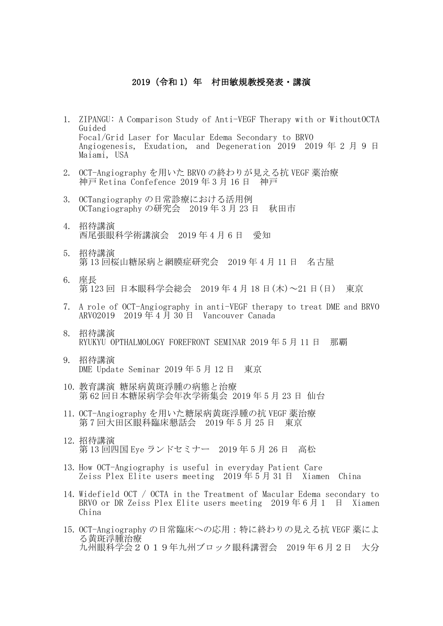## 2019 (令和 1) 年 村田敏規教授発表·講演

- 1. ZIPANGU: A Comparison Study of Anti-VEGF Therapy with or WithoutOCTA Guided Focal/Grid Laser for Macular Edema Secondary to BRVO Angiogenesis, Exudation, and Degeneration 2019 2019 年 2 月 9 日 Maiami, USA
- 2. OCT-Angiography を用いた BRVO の終わりが見える抗 VEGF 薬治療 神戸 Retina Confefence 2019 年 3 月 16 日 神戸
- 3. OCTangiography の日常診療における活用例 OCTangiography の研究会 2019 年 3 月 23 日 秋田市
- 4. 招待講演 西尾張眼科学術講演会 2019 年 4 月 6 日 愛知
- 5. 招待講演 第 13 回桜山糖尿病と網膜症研究会 2019 年 4 月 11 日 名古屋
- 6. 座長 第 123 回 日本眼科学会総会 2019 年 4 月 18 日(木)~21 日(日) 東京
- 7. A role of OCT-Angiography in anti-VEGF therapy to treat DME and BRVO ARVO2019 2019 年 4 月 30 日 Vancouver Canada
- 8. 招待講演 RYUKYU OPTHALMOLOGY FOREFRONT SEMINAR 2019 年 5 月 11 日 那覇
- 9. 招待講演 DME Update Seminar 2019 年 5 月 12 日 東京
- 10. 教育講演 糖尿病黄斑浮腫の病態と治療 第 62 回日本糖尿病学会年次学術集会 2019 年 5 月 23 日 仙台
- 11. OCT-Angiography を用いた糖尿病黄斑浮腫の抗 VEGF 薬治療 第 7 回大田区眼科臨床懇話会 2019 年 5 月 25 日 東京
- 12. 招待講演 第 13 回四国 Eye ランドセミナー 2019 年 5 月 26 日 高松
- 13. How OCT-Angiography is useful in everyday Patient Care Zeiss Plex Elite users meeting 2019 年 5 月 31 日 Xiamen China
- 14. Widefield OCT / OCTA in the Treatment of Macular Edema secondary to BRVO or DR Zeiss Plex Elite users meeting  $2019 \n\equiv 6 \n\equiv 1 \quad \equiv \quad$  Xiamen China
- 15. OCT-Angiography の日常臨床への応用:特に終わりの見える抗 VEGF 薬によ る黄斑浮腫治療 九州眼科学会2019年九州ブロック眼科講習会 2019 年6月2日 大分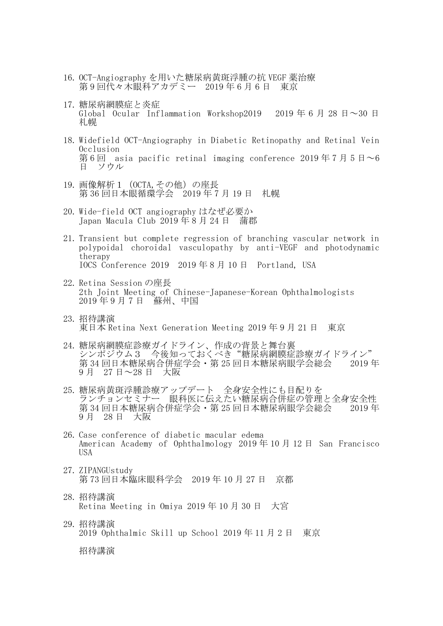- 16. OCT-Angiography を用いた糖尿病黄斑浮腫の抗 VEGF 薬治療 第 9 回代々木眼科アカデミー 2019 年 6 月 6 日 東京
- 17. 糖尿病網膜症と炎症 Global Ocular Inflammation Workshop2019 2019年6月28日~30日 札幌
- 18. Widefield OCT-Angiography in Diabetic Retinopathy and Retinal Vein Occlusion 第6回 asia pacific retinal imaging conference 2019年7月5日~6 日 ソウル
- 19. 画像解析1 (OCTA, その他)の座長 第 36 回日本眼循環学会 2019 年 7 月 19 日 札幌
- 20. Wide-field OCT angiography はなぜ必要か Japan Macula Club 2019 年 8 月 24 日 蒲郡
- 21. Transient but complete regression of branching vascular network in polypoidal choroidal vasculopathy by anti-VEGF and photodynamic therapy IOCS Conference 2019 2019 年 8 月 10 日 Portland, USA
- 22. Retina Session の座長 2th Joint Meeting of Chinese-Japanese-Korean Ophthalmologists 2019 年 9 月 7 日 蘇州、中国
- 23. 招待講演 東日本 Retina Next Generation Meeting 2019 年 9 月 21 日 東京
- 24. 糖尿病網膜症診療ガイドライン、作成の背景と舞台裏 シンポジウム3 今後知っておくべき"糖尿病網膜症診療ガイドライン" 第 34 回日本糖尿病合併症学会・第 25 回日本糖尿病眼学会総会 2019 年 9 月 27 日~28 日 大阪
- 25. 糖尿病黄斑浮腫診療アップデート 全身安全性にも目配りを ランチョンセミナー 眼科医に伝えたい糖尿病合併症の管理と全身安全性 第 34 回日本糖尿病合併症学会・第 25 回日本糖尿病眼学会総会 2019 年 9 月 28 日 大阪
- 26. Case conference of diabetic macular edema American Academy of Ophthalmology 2019 年 10 月 12 日 San Francisco USA
- 27. ZIPANGUstudy 第 73 回日本臨床眼科学会 2019 年 10 月 27 日 京都
- 28. 招待講演 Retina Meeting in Omiya 2019 年 10 月 30 日 大宮
- 29. 招待講演 2019 Ophthalmic Skill up School 2019 年 11 月 2 日 東京

招待講演